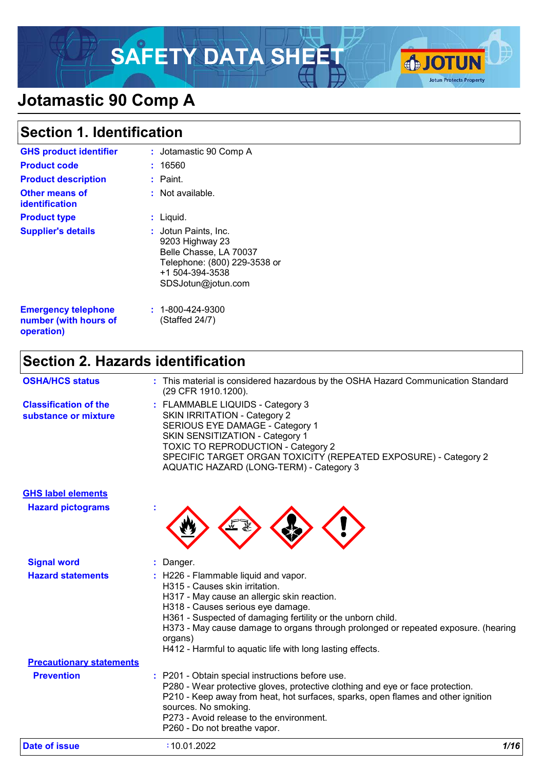# SAFETY DATA SHEET **& JOTUN**



# **Jotamastic 90 Comp A**

# **Section 1. Identification**

| <b>GHS product identifier</b><br><b>Product code</b><br><b>Product description</b><br><b>Other means of</b><br>identification | : Jotamastic 90 Comp A<br>: 16560<br>: Paint.<br>: Not available.                                                                                         |
|-------------------------------------------------------------------------------------------------------------------------------|-----------------------------------------------------------------------------------------------------------------------------------------------------------|
| <b>Product type</b><br><b>Supplier's details</b>                                                                              | $:$ Liquid.<br>: Jotun Paints, Inc.<br>9203 Highway 23<br>Belle Chasse, LA 70037<br>Telephone: (800) 229-3538 or<br>+1 504-394-3538<br>SDSJotun@jotun.com |
| <b>Emergency telephone</b><br>number (with hours of<br>operation)                                                             | $: 1 - 800 - 424 - 9300$<br>(Staffed 24/7)                                                                                                                |

# **Section 2. Hazards identification**

**GHS label elements**

| <b>OSHA/HCS status</b>                               | : This material is considered hazardous by the OSHA Hazard Communication Standard<br>(29 CFR 1910.1200).                                                                                                                                                                                                 |
|------------------------------------------------------|----------------------------------------------------------------------------------------------------------------------------------------------------------------------------------------------------------------------------------------------------------------------------------------------------------|
| <b>Classification of the</b><br>substance or mixture | : FLAMMABLE LIQUIDS - Category 3<br><b>SKIN IRRITATION - Category 2</b><br>SERIOUS EYE DAMAGE - Category 1<br>SKIN SENSITIZATION - Category 1<br><b>TOXIC TO REPRODUCTION - Category 2</b><br>SPECIFIC TARGET ORGAN TOXICITY (REPEATED EXPOSURE) - Category 2<br>AQUATIC HAZARD (LONG-TERM) - Category 3 |

| <b>Hazard pictograms</b>        |                                                                                                                                                                                                                                                                                                                                                                                         |      |
|---------------------------------|-----------------------------------------------------------------------------------------------------------------------------------------------------------------------------------------------------------------------------------------------------------------------------------------------------------------------------------------------------------------------------------------|------|
| <b>Signal word</b>              | : Danger.                                                                                                                                                                                                                                                                                                                                                                               |      |
| <b>Hazard statements</b>        | : H226 - Flammable liquid and vapor.<br>H315 - Causes skin irritation.<br>H317 - May cause an allergic skin reaction.<br>H318 - Causes serious eye damage.<br>H361 - Suspected of damaging fertility or the unborn child.<br>H373 - May cause damage to organs through prolonged or repeated exposure. (hearing<br>organs)<br>H412 - Harmful to aquatic life with long lasting effects. |      |
| <b>Precautionary statements</b> |                                                                                                                                                                                                                                                                                                                                                                                         |      |
| <b>Prevention</b>               | : P201 - Obtain special instructions before use.<br>P280 - Wear protective gloves, protective clothing and eye or face protection.<br>P210 - Keep away from heat, hot surfaces, sparks, open flames and other ignition<br>sources. No smoking.<br>P273 - Avoid release to the environment.<br>P260 - Do not breathe vapor.                                                              |      |
| Date of issue                   | :10.01.2022                                                                                                                                                                                                                                                                                                                                                                             | 1/16 |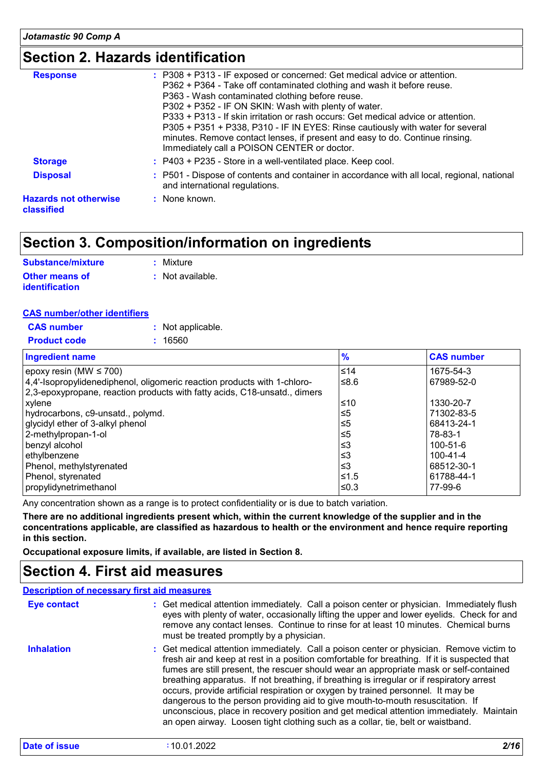# **Section 2. Hazards identification**

| <b>Response</b>                            | : P308 + P313 - IF exposed or concerned: Get medical advice or attention.<br>P362 + P364 - Take off contaminated clothing and wash it before reuse.<br>P363 - Wash contaminated clothing before reuse.<br>P302 + P352 - IF ON SKIN: Wash with plenty of water.<br>P333 + P313 - If skin irritation or rash occurs: Get medical advice or attention.<br>P305 + P351 + P338, P310 - IF IN EYES: Rinse cautiously with water for several<br>minutes. Remove contact lenses, if present and easy to do. Continue rinsing.<br>Immediately call a POISON CENTER or doctor. |
|--------------------------------------------|----------------------------------------------------------------------------------------------------------------------------------------------------------------------------------------------------------------------------------------------------------------------------------------------------------------------------------------------------------------------------------------------------------------------------------------------------------------------------------------------------------------------------------------------------------------------|
| <b>Storage</b>                             | $:$ P403 + P235 - Store in a well-ventilated place. Keep cool.                                                                                                                                                                                                                                                                                                                                                                                                                                                                                                       |
| <b>Disposal</b>                            | : P501 - Dispose of contents and container in accordance with all local, regional, national<br>and international regulations.                                                                                                                                                                                                                                                                                                                                                                                                                                        |
| <b>Hazards not otherwise</b><br>classified | : None known.                                                                                                                                                                                                                                                                                                                                                                                                                                                                                                                                                        |
|                                            |                                                                                                                                                                                                                                                                                                                                                                                                                                                                                                                                                                      |

# **Section 3. Composition/information on ingredients**

| <b>Substance/mixture</b> | : Mixture        |
|--------------------------|------------------|
| <b>Other means of</b>    | : Not available. |
| <b>identification</b>    |                  |

#### **CAS number/other identifiers**

| <b>CAS</b> number   | : Not applicable. |
|---------------------|-------------------|
| <b>Product code</b> | : 16560           |

| <b>Ingredient name</b>                                                    | $\frac{9}{6}$ | <b>CAS number</b> |
|---------------------------------------------------------------------------|---------------|-------------------|
| epoxy resin (MW $\leq 700$ )                                              | ≤14           | 1675-54-3         |
| 4,4'-Isopropylidenediphenol, oligomeric reaction products with 1-chloro-  | ≤ $8.6$       | 67989-52-0        |
| 2,3-epoxypropane, reaction products with fatty acids, C18-unsatd., dimers |               |                   |
| xylene                                                                    | ≤10           | 1330-20-7         |
| hydrocarbons, c9-unsatd., polymd.                                         | $\leq 5$      | 71302-83-5        |
| glycidyl ether of 3-alkyl phenol                                          | ≤5            | 68413-24-1        |
| 2-methylpropan-1-ol                                                       | ≤5            | 78-83-1           |
| benzyl alcohol                                                            | $\leq$ 3      | $100 - 51 - 6$    |
| ethylbenzene                                                              | $\leq$ 3      | $100 - 41 - 4$    |
| Phenol, methylstyrenated                                                  | ≤3            | 68512-30-1        |
| Phenol, styrenated                                                        | 51.5≥         | 61788-44-1        |
| propylidynetrimethanol                                                    | ≤0.3          | 77-99-6           |

Any concentration shown as a range is to protect confidentiality or is due to batch variation.

**There are no additional ingredients present which, within the current knowledge of the supplier and in the concentrations applicable, are classified as hazardous to health or the environment and hence require reporting in this section.**

**Occupational exposure limits, if available, are listed in Section 8.**

### **Section 4. First aid measures**

|                   | <b>Description of necessary first aid measures</b>                                                                                                                                                                                                                                                                                                                                                                                                                                                                                                                                                                                                                                                                                 |
|-------------------|------------------------------------------------------------------------------------------------------------------------------------------------------------------------------------------------------------------------------------------------------------------------------------------------------------------------------------------------------------------------------------------------------------------------------------------------------------------------------------------------------------------------------------------------------------------------------------------------------------------------------------------------------------------------------------------------------------------------------------|
| Eye contact       | : Get medical attention immediately. Call a poison center or physician. Immediately flush<br>eyes with plenty of water, occasionally lifting the upper and lower eyelids. Check for and<br>remove any contact lenses. Continue to rinse for at least 10 minutes. Chemical burns<br>must be treated promptly by a physician.                                                                                                                                                                                                                                                                                                                                                                                                        |
| <b>Inhalation</b> | : Get medical attention immediately. Call a poison center or physician. Remove victim to<br>fresh air and keep at rest in a position comfortable for breathing. If it is suspected that<br>fumes are still present, the rescuer should wear an appropriate mask or self-contained<br>breathing apparatus. If not breathing, if breathing is irregular or if respiratory arrest<br>occurs, provide artificial respiration or oxygen by trained personnel. It may be<br>dangerous to the person providing aid to give mouth-to-mouth resuscitation. If<br>unconscious, place in recovery position and get medical attention immediately. Maintain<br>an open airway. Loosen tight clothing such as a collar, tie, belt or waistband. |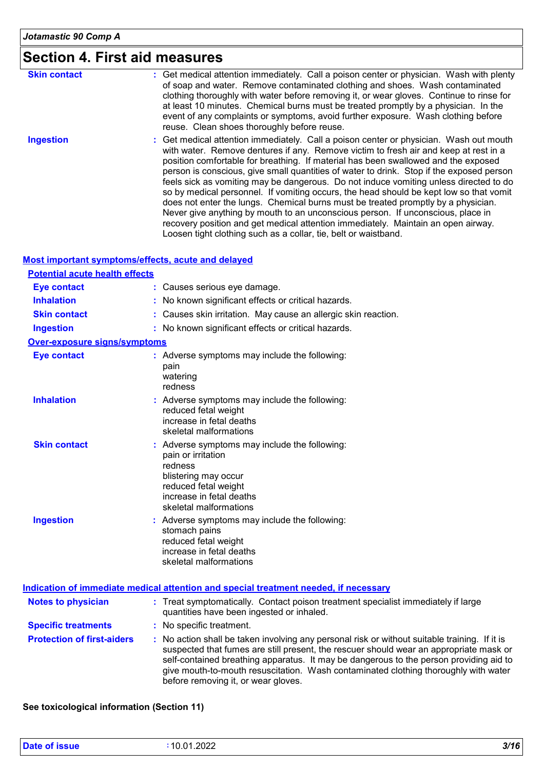# **Section 4. First aid measures**

| <b>Skin contact</b> | : Get medical attention immediately. Call a poison center or physician. Wash with plenty<br>of soap and water. Remove contaminated clothing and shoes. Wash contaminated<br>clothing thoroughly with water before removing it, or wear gloves. Continue to rinse for<br>at least 10 minutes. Chemical burns must be treated promptly by a physician. In the<br>event of any complaints or symptoms, avoid further exposure. Wash clothing before<br>reuse. Clean shoes thoroughly before reuse.                                                                                                                                                                                                                                                                                                                                                                                     |
|---------------------|-------------------------------------------------------------------------------------------------------------------------------------------------------------------------------------------------------------------------------------------------------------------------------------------------------------------------------------------------------------------------------------------------------------------------------------------------------------------------------------------------------------------------------------------------------------------------------------------------------------------------------------------------------------------------------------------------------------------------------------------------------------------------------------------------------------------------------------------------------------------------------------|
| <b>Ingestion</b>    | : Get medical attention immediately. Call a poison center or physician. Wash out mouth<br>with water. Remove dentures if any. Remove victim to fresh air and keep at rest in a<br>position comfortable for breathing. If material has been swallowed and the exposed<br>person is conscious, give small quantities of water to drink. Stop if the exposed person<br>feels sick as vomiting may be dangerous. Do not induce vomiting unless directed to do<br>so by medical personnel. If vomiting occurs, the head should be kept low so that vomit<br>does not enter the lungs. Chemical burns must be treated promptly by a physician.<br>Never give anything by mouth to an unconscious person. If unconscious, place in<br>recovery position and get medical attention immediately. Maintain an open airway.<br>Loosen tight clothing such as a collar, tie, belt or waistband. |

#### **Most important symptoms/effects, acute and delayed**

| <b>Potential acute health effects</b> |                                                                                                                                                                                      |
|---------------------------------------|--------------------------------------------------------------------------------------------------------------------------------------------------------------------------------------|
| <b>Eye contact</b>                    | Causes serious eye damage.                                                                                                                                                           |
| <b>Inhalation</b>                     | No known significant effects or critical hazards.                                                                                                                                    |
| <b>Skin contact</b>                   | Causes skin irritation. May cause an allergic skin reaction.                                                                                                                         |
| <b>Ingestion</b>                      | : No known significant effects or critical hazards.                                                                                                                                  |
| <b>Over-exposure signs/symptoms</b>   |                                                                                                                                                                                      |
| <b>Eye contact</b>                    | : Adverse symptoms may include the following:<br>pain<br>watering<br>redness                                                                                                         |
| <b>Inhalation</b>                     | : Adverse symptoms may include the following:<br>reduced fetal weight<br>increase in fetal deaths<br>skeletal malformations                                                          |
| <b>Skin contact</b>                   | : Adverse symptoms may include the following:<br>pain or irritation<br>redness<br>blistering may occur<br>reduced fetal weight<br>increase in fetal deaths<br>skeletal malformations |
| <b>Ingestion</b>                      | : Adverse symptoms may include the following:<br>stomach pains<br>reduced fetal weight<br>increase in fetal deaths<br>skeletal malformations                                         |

|                                   | Indication of immediate medical attention and special treatment needed, if necessary                                                                                                                                                                                                                                                                                                                            |
|-----------------------------------|-----------------------------------------------------------------------------------------------------------------------------------------------------------------------------------------------------------------------------------------------------------------------------------------------------------------------------------------------------------------------------------------------------------------|
| <b>Notes to physician</b>         | : Treat symptomatically. Contact poison treatment specialist immediately if large<br>quantities have been ingested or inhaled.                                                                                                                                                                                                                                                                                  |
| <b>Specific treatments</b>        | : No specific treatment.                                                                                                                                                                                                                                                                                                                                                                                        |
| <b>Protection of first-aiders</b> | : No action shall be taken involving any personal risk or without suitable training. If it is<br>suspected that fumes are still present, the rescuer should wear an appropriate mask or<br>self-contained breathing apparatus. It may be dangerous to the person providing aid to<br>give mouth-to-mouth resuscitation. Wash contaminated clothing thoroughly with water<br>before removing it, or wear gloves. |

#### **See toxicological information (Section 11)**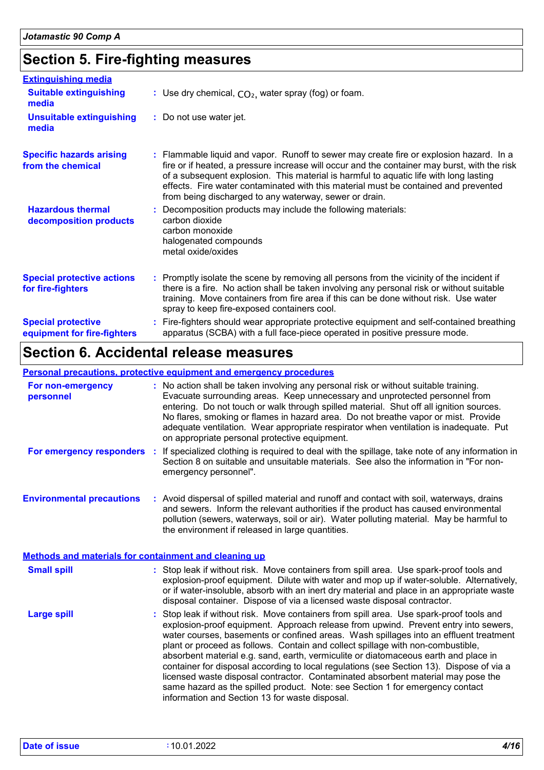# **Section 5. Fire-fighting measures**

| <b>Extinguishing media</b>                               |                                                                                                                                                                                                                                                                                                                                                                                                                                   |  |
|----------------------------------------------------------|-----------------------------------------------------------------------------------------------------------------------------------------------------------------------------------------------------------------------------------------------------------------------------------------------------------------------------------------------------------------------------------------------------------------------------------|--|
| <b>Suitable extinguishing</b><br>media                   | : Use dry chemical, $CO2$ , water spray (fog) or foam.                                                                                                                                                                                                                                                                                                                                                                            |  |
| <b>Unsuitable extinguishing</b><br>media                 | : Do not use water jet.                                                                                                                                                                                                                                                                                                                                                                                                           |  |
| <b>Specific hazards arising</b><br>from the chemical     | : Flammable liquid and vapor. Runoff to sewer may create fire or explosion hazard. In a<br>fire or if heated, a pressure increase will occur and the container may burst, with the risk<br>of a subsequent explosion. This material is harmful to aquatic life with long lasting<br>effects. Fire water contaminated with this material must be contained and prevented<br>from being discharged to any waterway, sewer or drain. |  |
| <b>Hazardous thermal</b><br>decomposition products       | Decomposition products may include the following materials:<br>carbon dioxide<br>carbon monoxide<br>halogenated compounds<br>metal oxide/oxides                                                                                                                                                                                                                                                                                   |  |
| <b>Special protective actions</b><br>for fire-fighters   | : Promptly isolate the scene by removing all persons from the vicinity of the incident if<br>there is a fire. No action shall be taken involving any personal risk or without suitable<br>training. Move containers from fire area if this can be done without risk. Use water<br>spray to keep fire-exposed containers cool.                                                                                                     |  |
| <b>Special protective</b><br>equipment for fire-fighters | : Fire-fighters should wear appropriate protective equipment and self-contained breathing<br>apparatus (SCBA) with a full face-piece operated in positive pressure mode.                                                                                                                                                                                                                                                          |  |

# **Section 6. Accidental release measures**

#### **Personal precautions, protective equipment and emergency procedures**

| For non-emergency<br>personnel                               | : No action shall be taken involving any personal risk or without suitable training.<br>Evacuate surrounding areas. Keep unnecessary and unprotected personnel from<br>entering. Do not touch or walk through spilled material. Shut off all ignition sources.<br>No flares, smoking or flames in hazard area. Do not breathe vapor or mist. Provide<br>adequate ventilation. Wear appropriate respirator when ventilation is inadequate. Put<br>on appropriate personal protective equipment.                                                                                                                                                                                                                                                                     |  |
|--------------------------------------------------------------|--------------------------------------------------------------------------------------------------------------------------------------------------------------------------------------------------------------------------------------------------------------------------------------------------------------------------------------------------------------------------------------------------------------------------------------------------------------------------------------------------------------------------------------------------------------------------------------------------------------------------------------------------------------------------------------------------------------------------------------------------------------------|--|
| For emergency responders                                     | If specialized clothing is required to deal with the spillage, take note of any information in<br>Section 8 on suitable and unsuitable materials. See also the information in "For non-<br>emergency personnel".                                                                                                                                                                                                                                                                                                                                                                                                                                                                                                                                                   |  |
| <b>Environmental precautions</b>                             | : Avoid dispersal of spilled material and runoff and contact with soil, waterways, drains<br>and sewers. Inform the relevant authorities if the product has caused environmental<br>pollution (sewers, waterways, soil or air). Water polluting material. May be harmful to<br>the environment if released in large quantities.                                                                                                                                                                                                                                                                                                                                                                                                                                    |  |
| <b>Methods and materials for containment and cleaning up</b> |                                                                                                                                                                                                                                                                                                                                                                                                                                                                                                                                                                                                                                                                                                                                                                    |  |
| <b>Small spill</b>                                           | : Stop leak if without risk. Move containers from spill area. Use spark-proof tools and<br>explosion-proof equipment. Dilute with water and mop up if water-soluble. Alternatively,<br>or if water-insoluble, absorb with an inert dry material and place in an appropriate waste<br>disposal container. Dispose of via a licensed waste disposal contractor.                                                                                                                                                                                                                                                                                                                                                                                                      |  |
| <b>Large spill</b>                                           | Stop leak if without risk. Move containers from spill area. Use spark-proof tools and<br>explosion-proof equipment. Approach release from upwind. Prevent entry into sewers,<br>water courses, basements or confined areas. Wash spillages into an effluent treatment<br>plant or proceed as follows. Contain and collect spillage with non-combustible,<br>absorbent material e.g. sand, earth, vermiculite or diatomaceous earth and place in<br>container for disposal according to local regulations (see Section 13). Dispose of via a<br>licensed waste disposal contractor. Contaminated absorbent material may pose the<br>same hazard as the spilled product. Note: see Section 1 for emergency contact<br>information and Section 13 for waste disposal. |  |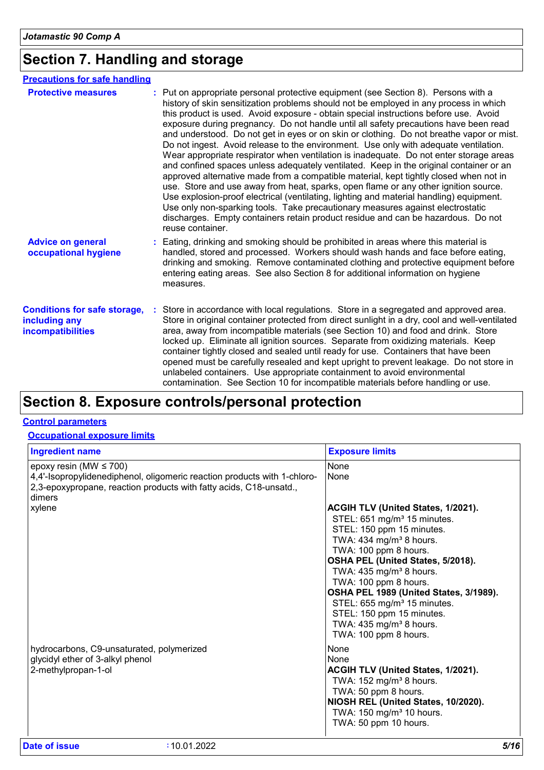# **Section 7. Handling and storage**

| <b>Precautions for safe handling</b>                                                                                                                                                                                                                                                                                                                                                                                                                                                                                                                                                                                                                                                                                                                                                                                                                                                                                                                                                                                                                                                                                                                                                                     |
|----------------------------------------------------------------------------------------------------------------------------------------------------------------------------------------------------------------------------------------------------------------------------------------------------------------------------------------------------------------------------------------------------------------------------------------------------------------------------------------------------------------------------------------------------------------------------------------------------------------------------------------------------------------------------------------------------------------------------------------------------------------------------------------------------------------------------------------------------------------------------------------------------------------------------------------------------------------------------------------------------------------------------------------------------------------------------------------------------------------------------------------------------------------------------------------------------------|
| : Put on appropriate personal protective equipment (see Section 8). Persons with a<br>history of skin sensitization problems should not be employed in any process in which<br>this product is used. Avoid exposure - obtain special instructions before use. Avoid<br>exposure during pregnancy. Do not handle until all safety precautions have been read<br>and understood. Do not get in eyes or on skin or clothing. Do not breathe vapor or mist.<br>Do not ingest. Avoid release to the environment. Use only with adequate ventilation.<br>Wear appropriate respirator when ventilation is inadequate. Do not enter storage areas<br>and confined spaces unless adequately ventilated. Keep in the original container or an<br>approved alternative made from a compatible material, kept tightly closed when not in<br>use. Store and use away from heat, sparks, open flame or any other ignition source.<br>Use explosion-proof electrical (ventilating, lighting and material handling) equipment.<br>Use only non-sparking tools. Take precautionary measures against electrostatic<br>discharges. Empty containers retain product residue and can be hazardous. Do not<br>reuse container. |
| Eating, drinking and smoking should be prohibited in areas where this material is<br>handled, stored and processed. Workers should wash hands and face before eating,<br>drinking and smoking. Remove contaminated clothing and protective equipment before<br>entering eating areas. See also Section 8 for additional information on hygiene<br>measures.                                                                                                                                                                                                                                                                                                                                                                                                                                                                                                                                                                                                                                                                                                                                                                                                                                              |
| Store in accordance with local regulations. Store in a segregated and approved area.<br>Store in original container protected from direct sunlight in a dry, cool and well-ventilated<br>area, away from incompatible materials (see Section 10) and food and drink. Store<br>locked up. Eliminate all ignition sources. Separate from oxidizing materials. Keep<br>container tightly closed and sealed until ready for use. Containers that have been<br>opened must be carefully resealed and kept upright to prevent leakage. Do not store in<br>unlabeled containers. Use appropriate containment to avoid environmental<br>contamination. See Section 10 for incompatible materials before handling or use.                                                                                                                                                                                                                                                                                                                                                                                                                                                                                         |
|                                                                                                                                                                                                                                                                                                                                                                                                                                                                                                                                                                                                                                                                                                                                                                                                                                                                                                                                                                                                                                                                                                                                                                                                          |

### **Section 8. Exposure controls/personal protection**

#### **Control parameters**

#### **Occupational exposure limits**

| <b>Ingredient name</b>                                                                                                                                                                  | <b>Exposure limits</b>                                                                                                                                                                                                                                                                                                                                                                                                                                              |
|-----------------------------------------------------------------------------------------------------------------------------------------------------------------------------------------|---------------------------------------------------------------------------------------------------------------------------------------------------------------------------------------------------------------------------------------------------------------------------------------------------------------------------------------------------------------------------------------------------------------------------------------------------------------------|
| epoxy resin (MW $\leq$ 700)<br>4,4'-Isopropylidenediphenol, oligomeric reaction products with 1-chloro-<br>2,3-epoxypropane, reaction products with fatty acids, C18-unsatd.,<br>dimers | None<br>None                                                                                                                                                                                                                                                                                                                                                                                                                                                        |
| xylene                                                                                                                                                                                  | ACGIH TLV (United States, 1/2021).<br>STEL: 651 mg/m <sup>3</sup> 15 minutes.<br>STEL: 150 ppm 15 minutes.<br>TWA: 434 mg/m <sup>3</sup> 8 hours.<br>TWA: 100 ppm 8 hours.<br>OSHA PEL (United States, 5/2018).<br>TWA: $435$ mg/m <sup>3</sup> 8 hours.<br>TWA: 100 ppm 8 hours.<br>OSHA PEL 1989 (United States, 3/1989).<br>STEL: 655 mg/m <sup>3</sup> 15 minutes.<br>STEL: 150 ppm 15 minutes.<br>TWA: 435 mg/m <sup>3</sup> 8 hours.<br>TWA: 100 ppm 8 hours. |
| hydrocarbons, C9-unsaturated, polymerized<br>glycidyl ether of 3-alkyl phenol<br>2-methylpropan-1-ol                                                                                    | None<br>None<br>ACGIH TLV (United States, 1/2021).<br>TWA: 152 mg/m <sup>3</sup> 8 hours.<br>TWA: 50 ppm 8 hours.<br>NIOSH REL (United States, 10/2020).<br>TWA: 150 mg/m <sup>3</sup> 10 hours.<br>TWA: 50 ppm 10 hours.                                                                                                                                                                                                                                           |
| Date of issue<br>:10.01.2022                                                                                                                                                            | 5/16                                                                                                                                                                                                                                                                                                                                                                                                                                                                |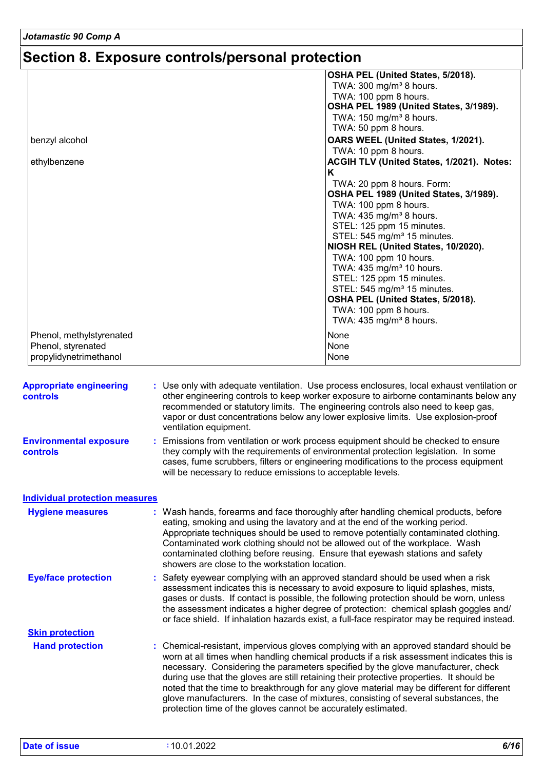# **Section 8. Exposure controls/personal protection**

|                          | OSHA PEL (United States, 5/2018).         |
|--------------------------|-------------------------------------------|
|                          | TWA: $300 \text{ mg/m}^3$ 8 hours.        |
|                          | TWA: 100 ppm 8 hours.                     |
|                          | OSHA PEL 1989 (United States, 3/1989).    |
|                          | TWA: $150 \text{ mg/m}^3$ 8 hours.        |
|                          | TWA: 50 ppm 8 hours.                      |
| benzyl alcohol           | OARS WEEL (United States, 1/2021).        |
|                          | TWA: 10 ppm 8 hours.                      |
| ethylbenzene             | ACGIH TLV (United States, 1/2021). Notes: |
|                          | K                                         |
|                          | TWA: 20 ppm 8 hours. Form:                |
|                          | OSHA PEL 1989 (United States, 3/1989).    |
|                          | TWA: 100 ppm 8 hours.                     |
|                          | TWA: $435 \text{ mg/m}^3$ 8 hours.        |
|                          | STEL: 125 ppm 15 minutes.                 |
|                          | STEL: 545 mg/m <sup>3</sup> 15 minutes.   |
|                          | NIOSH REL (United States, 10/2020).       |
|                          | TWA: 100 ppm 10 hours.                    |
|                          | TWA: 435 mg/m <sup>3</sup> 10 hours.      |
|                          | STEL: 125 ppm 15 minutes.                 |
|                          | STEL: 545 mg/m <sup>3</sup> 15 minutes.   |
|                          | OSHA PEL (United States, 5/2018).         |
|                          | TWA: 100 ppm 8 hours.                     |
|                          | TWA: 435 mg/m <sup>3</sup> 8 hours.       |
| Phenol, methylstyrenated | None                                      |
| Phenol, styrenated       | None                                      |
| propylidynetrimethanol   | None                                      |

| <b>Appropriate engineering</b><br><b>controls</b> | : Use only with adequate ventilation. Use process enclosures, local exhaust ventilation or<br>other engineering controls to keep worker exposure to airborne contaminants below any<br>recommended or statutory limits. The engineering controls also need to keep gas,<br>vapor or dust concentrations below any lower explosive limits. Use explosion-proof<br>ventilation equipment.                                                                                                                                                                                                                                |
|---------------------------------------------------|------------------------------------------------------------------------------------------------------------------------------------------------------------------------------------------------------------------------------------------------------------------------------------------------------------------------------------------------------------------------------------------------------------------------------------------------------------------------------------------------------------------------------------------------------------------------------------------------------------------------|
| <b>Environmental exposure</b><br><b>controls</b>  | : Emissions from ventilation or work process equipment should be checked to ensure<br>they comply with the requirements of environmental protection legislation. In some<br>cases, fume scrubbers, filters or engineering modifications to the process equipment<br>will be necessary to reduce emissions to acceptable levels.                                                                                                                                                                                                                                                                                        |
| <b>Individual protection measures</b>             |                                                                                                                                                                                                                                                                                                                                                                                                                                                                                                                                                                                                                        |
| <b>Hygiene measures</b>                           | : Wash hands, forearms and face thoroughly after handling chemical products, before<br>eating, smoking and using the lavatory and at the end of the working period.<br>Appropriate techniques should be used to remove potentially contaminated clothing.<br>Contaminated work clothing should not be allowed out of the workplace. Wash<br>contaminated clothing before reusing. Ensure that eyewash stations and safety<br>showers are close to the workstation location.                                                                                                                                            |
| <b>Eye/face protection</b>                        | : Safety eyewear complying with an approved standard should be used when a risk<br>assessment indicates this is necessary to avoid exposure to liquid splashes, mists,<br>gases or dusts. If contact is possible, the following protection should be worn, unless<br>the assessment indicates a higher degree of protection: chemical splash goggles and/<br>or face shield. If inhalation hazards exist, a full-face respirator may be required instead.                                                                                                                                                              |
| <b>Skin protection</b>                            |                                                                                                                                                                                                                                                                                                                                                                                                                                                                                                                                                                                                                        |
| <b>Hand protection</b>                            | : Chemical-resistant, impervious gloves complying with an approved standard should be<br>worn at all times when handling chemical products if a risk assessment indicates this is<br>necessary. Considering the parameters specified by the glove manufacturer, check<br>during use that the gloves are still retaining their protective properties. It should be<br>noted that the time to breakthrough for any glove material may be different for different<br>glove manufacturers. In the case of mixtures, consisting of several substances, the<br>protection time of the gloves cannot be accurately estimated. |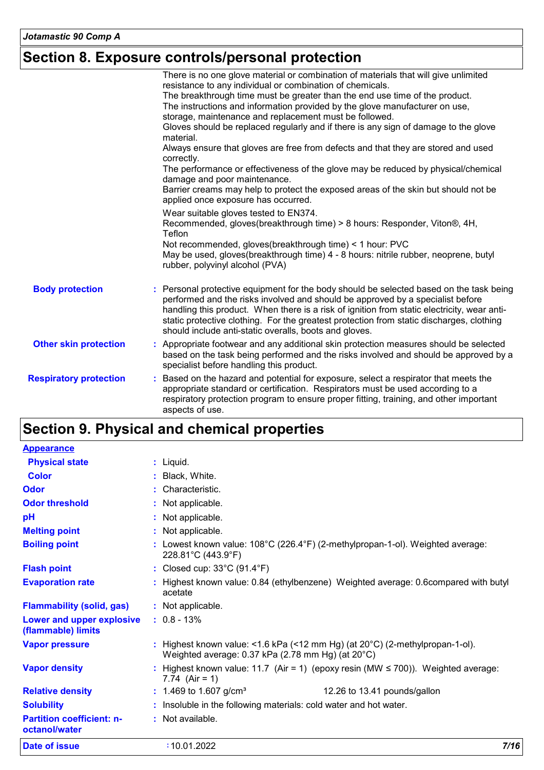# **Section 8. Exposure controls/personal protection**

|                               | There is no one glove material or combination of materials that will give unlimited<br>resistance to any individual or combination of chemicals.<br>The breakthrough time must be greater than the end use time of the product.<br>The instructions and information provided by the glove manufacturer on use,<br>storage, maintenance and replacement must be followed.<br>Gloves should be replaced regularly and if there is any sign of damage to the glove<br>material.<br>Always ensure that gloves are free from defects and that they are stored and used<br>correctly.<br>The performance or effectiveness of the glove may be reduced by physical/chemical<br>damage and poor maintenance.<br>Barrier creams may help to protect the exposed areas of the skin but should not be<br>applied once exposure has occurred. |
|-------------------------------|-----------------------------------------------------------------------------------------------------------------------------------------------------------------------------------------------------------------------------------------------------------------------------------------------------------------------------------------------------------------------------------------------------------------------------------------------------------------------------------------------------------------------------------------------------------------------------------------------------------------------------------------------------------------------------------------------------------------------------------------------------------------------------------------------------------------------------------|
|                               | Wear suitable gloves tested to EN374.<br>Recommended, gloves(breakthrough time) > 8 hours: Responder, Viton®, 4H,<br>Teflon<br>Not recommended, gloves(breakthrough time) < 1 hour: PVC<br>May be used, gloves (breakthrough time) 4 - 8 hours: nitrile rubber, neoprene, butyl<br>rubber, polyvinyl alcohol (PVA)                                                                                                                                                                                                                                                                                                                                                                                                                                                                                                                |
| <b>Body protection</b>        | : Personal protective equipment for the body should be selected based on the task being<br>performed and the risks involved and should be approved by a specialist before<br>handling this product. When there is a risk of ignition from static electricity, wear anti-<br>static protective clothing. For the greatest protection from static discharges, clothing<br>should include anti-static overalls, boots and gloves.                                                                                                                                                                                                                                                                                                                                                                                                    |
| <b>Other skin protection</b>  | : Appropriate footwear and any additional skin protection measures should be selected<br>based on the task being performed and the risks involved and should be approved by a<br>specialist before handling this product.                                                                                                                                                                                                                                                                                                                                                                                                                                                                                                                                                                                                         |
| <b>Respiratory protection</b> | : Based on the hazard and potential for exposure, select a respirator that meets the<br>appropriate standard or certification. Respirators must be used according to a<br>respiratory protection program to ensure proper fitting, training, and other important<br>aspects of use.                                                                                                                                                                                                                                                                                                                                                                                                                                                                                                                                               |

# **Section 9. Physical and chemical properties**

| <b>Appearance</b>                                 |                                                                                                                                                         |
|---------------------------------------------------|---------------------------------------------------------------------------------------------------------------------------------------------------------|
| <b>Physical state</b>                             | $:$ Liquid.                                                                                                                                             |
| <b>Color</b>                                      | : Black, White.                                                                                                                                         |
| Odor                                              | : Characteristic.                                                                                                                                       |
| <b>Odor threshold</b>                             | : Not applicable.                                                                                                                                       |
| pH                                                | : Not applicable.                                                                                                                                       |
| <b>Melting point</b>                              | : Not applicable.                                                                                                                                       |
| <b>Boiling point</b>                              | : Lowest known value: $108^{\circ}$ C (226.4°F) (2-methylpropan-1-ol). Weighted average:<br>228.81°C (443.9°F)                                          |
| <b>Flash point</b>                                | : Closed cup: $33^{\circ}$ C (91.4 $^{\circ}$ F)                                                                                                        |
| <b>Evaporation rate</b>                           | Highest known value: 0.84 (ethylbenzene) Weighted average: 0.6compared with butyl<br>acetate                                                            |
| <b>Flammability (solid, gas)</b>                  | : Not applicable.                                                                                                                                       |
| Lower and upper explosive<br>(flammable) limits   | $: 0.8 - 13\%$                                                                                                                                          |
| <b>Vapor pressure</b>                             | : Highest known value: <1.6 kPa (<12 mm Hg) (at $20^{\circ}$ C) (2-methylpropan-1-ol).<br>Weighted average: $0.37$ kPa (2.78 mm Hg) (at $20^{\circ}$ C) |
| <b>Vapor density</b>                              | Highest known value: 11.7 (Air = 1) (epoxy resin (MW $\leq$ 700)). Weighted average:<br>7.74 $(Air = 1)$                                                |
| <b>Relative density</b>                           | : 1.469 to 1.607 g/cm <sup>3</sup><br>12.26 to 13.41 pounds/gallon                                                                                      |
| <b>Solubility</b>                                 | Insoluble in the following materials: cold water and hot water.                                                                                         |
| <b>Partition coefficient: n-</b><br>octanol/water | : Not available.                                                                                                                                        |
| Date of issue                                     | 7/16<br>:10.01.2022                                                                                                                                     |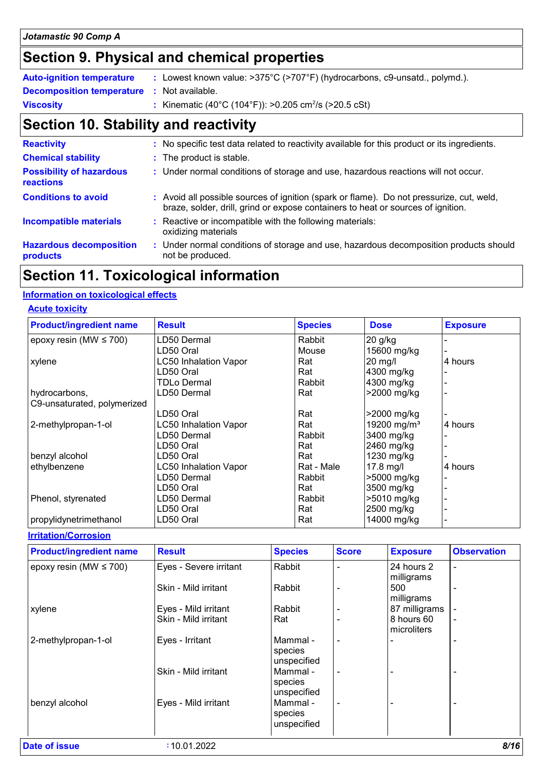# **Section 9. Physical and chemical properties**

| <b>Auto-ignition temperature</b>                  | : Lowest known value: $>375^{\circ}$ C ( $>707^{\circ}$ F) (hydrocarbons, c9-unsatd., polymd.). |
|---------------------------------------------------|-------------------------------------------------------------------------------------------------|
| <b>Decomposition temperature :</b> Not available. |                                                                                                 |
| <b>Viscosity</b>                                  | : Kinematic (40°C (104°F)): >0.205 cm <sup>2</sup> /s (>20.5 cSt)                               |

# **Section 10. Stability and reactivity**

| <b>Reactivity</b>                                   | : No specific test data related to reactivity available for this product or its ingredients.                                                                                 |
|-----------------------------------------------------|------------------------------------------------------------------------------------------------------------------------------------------------------------------------------|
| <b>Chemical stability</b>                           | : The product is stable.                                                                                                                                                     |
| <b>Possibility of hazardous</b><br><b>reactions</b> | : Under normal conditions of storage and use, hazardous reactions will not occur.                                                                                            |
| <b>Conditions to avoid</b>                          | : Avoid all possible sources of ignition (spark or flame). Do not pressurize, cut, weld,<br>braze, solder, drill, grind or expose containers to heat or sources of ignition. |
| <b>Incompatible materials</b>                       | : Reactive or incompatible with the following materials:<br>oxidizing materials                                                                                              |
| <b>Hazardous decomposition</b><br>products          | : Under normal conditions of storage and use, hazardous decomposition products should<br>not be produced.                                                                    |

# **Section 11. Toxicological information**

#### **Information on toxicological effects**

|  |  | <b>Acute toxicity</b> |  |  |
|--|--|-----------------------|--|--|
|--|--|-----------------------|--|--|

| <b>Product/ingredient name</b> | <b>Result</b>                | <b>Species</b> | <b>Dose</b>             | <b>Exposure</b> |
|--------------------------------|------------------------------|----------------|-------------------------|-----------------|
| epoxy resin (MW $\leq$ 700)    | LD50 Dermal                  | Rabbit         | 20 g/kg                 |                 |
|                                | LD50 Oral                    | Mouse          | 15600 mg/kg             |                 |
| xylene                         | <b>LC50 Inhalation Vapor</b> | Rat            | 20 mg/l                 | 4 hours         |
|                                | LD50 Oral                    | Rat            | 4300 mg/kg              |                 |
|                                | <b>TDLo Dermal</b>           | Rabbit         | 4300 mg/kg              |                 |
| hydrocarbons,                  | LD50 Dermal                  | Rat            | >2000 mg/kg             |                 |
| C9-unsaturated, polymerized    |                              |                |                         |                 |
|                                | LD50 Oral                    | Rat            | >2000 mg/kg             |                 |
| 2-methylpropan-1-ol            | <b>LC50 Inhalation Vapor</b> | Rat            | 19200 mg/m <sup>3</sup> | 4 hours         |
|                                | LD50 Dermal                  | Rabbit         | 3400 mg/kg              |                 |
|                                | LD50 Oral                    | Rat            | 2460 mg/kg              |                 |
| benzyl alcohol                 | LD50 Oral                    | Rat            | 1230 mg/kg              |                 |
| ethylbenzene                   | <b>LC50 Inhalation Vapor</b> | Rat - Male     | 17.8 mg/l               | 4 hours         |
|                                | LD50 Dermal                  | Rabbit         | >5000 mg/kg             |                 |
|                                | LD50 Oral                    | Rat            | 3500 mg/kg              |                 |
| Phenol, styrenated             | LD50 Dermal                  | Rabbit         | >5010 mg/kg             |                 |
|                                | LD50 Oral                    | Rat            | 2500 mg/kg              |                 |
| propylidynetrimethanol         | LD50 Oral                    | Rat            | 14000 mg/kg             |                 |

**Irritation/Corrosion**

| <b>Product/ingredient name</b> | <b>Result</b>          | <b>Species</b>                     | <b>Score</b>             | <b>Exposure</b>           | <b>Observation</b> |
|--------------------------------|------------------------|------------------------------------|--------------------------|---------------------------|--------------------|
| epoxy resin (MW $\leq$ 700)    | Eyes - Severe irritant | Rabbit                             |                          | 24 hours 2<br>milligrams  | $\blacksquare$     |
|                                | Skin - Mild irritant   | Rabbit                             |                          | 500<br>milligrams         | $\blacksquare$     |
| xylene                         | Eyes - Mild irritant   | Rabbit                             |                          | 87 milligrams             |                    |
|                                | Skin - Mild irritant   | Rat                                |                          | 8 hours 60<br>microliters | $\blacksquare$     |
| 2-methylpropan-1-ol            | Eyes - Irritant        | Mammal -<br>species<br>unspecified | $\overline{\phantom{a}}$ |                           | $\blacksquare$     |
|                                | Skin - Mild irritant   | Mammal -<br>species<br>unspecified | $\overline{\phantom{0}}$ |                           |                    |
| benzyl alcohol                 | Eyes - Mild irritant   | Mammal-<br>species<br>unspecified  | $\overline{\phantom{a}}$ |                           | $\blacksquare$     |
| Date of issue                  | :10.01.2022            |                                    |                          |                           | 8/16               |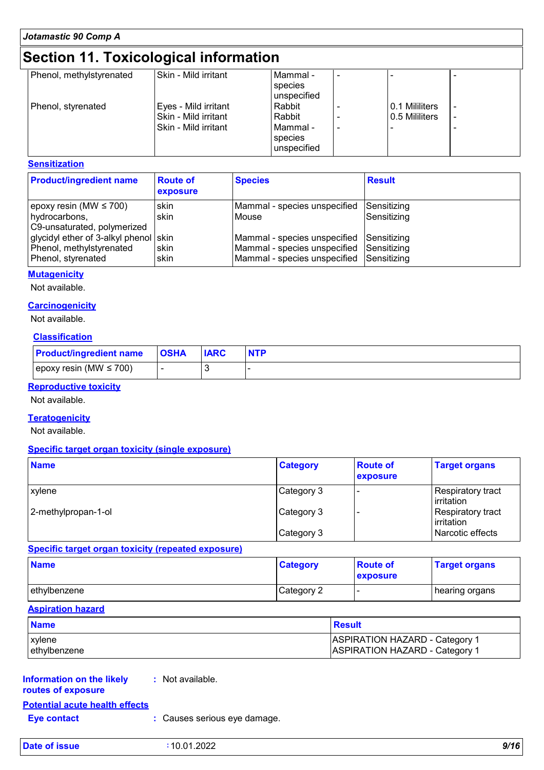# **Section 11. Toxicological information**

| Phenol, methylstyrenated | Skin - Mild irritant | Mammal -    |                |  |
|--------------------------|----------------------|-------------|----------------|--|
|                          |                      | species     |                |  |
|                          |                      | unspecified |                |  |
| Phenol, styrenated       | Eyes - Mild irritant | Rabbit      | 0.1 Mililiters |  |
|                          | Skin - Mild irritant | Rabbit      | 0.5 Mililiters |  |
|                          | Skin - Mild irritant | l Mammal -  |                |  |
|                          |                      | species     |                |  |
|                          |                      | unspecified |                |  |
|                          |                      |             |                |  |

#### **Sensitization**

| <b>Product/ingredient name</b>                                                          | <b>Route of</b><br>exposure | <b>Species</b>                                                                                                       | <b>Result</b>              |
|-----------------------------------------------------------------------------------------|-----------------------------|----------------------------------------------------------------------------------------------------------------------|----------------------------|
| epoxy resin (MW $\leq$ 700)<br>hydrocarbons,<br>C9-unsaturated, polymerized             | skin<br>skin                | Mammal - species unspecified<br>Mouse                                                                                | Sensitizing<br>Sensitizing |
| glycidyl ether of 3-alkyl phenol skin<br>Phenol, methylstyrenated<br>Phenol, styrenated | skin<br>skin                | Mammal - species unspecified<br>Mammal - species unspecified Sensitizing<br>Mammal - species unspecified Sensitizing | <b>Sensitizing</b>         |

#### **Mutagenicity**

Not available.

#### **Carcinogenicity**

Not available.

#### **Classification**

| <b>Product/ingredient name</b> | <b>OSHA</b> | <b>IARC</b> |  |
|--------------------------------|-------------|-------------|--|
| epoxy resin (MW $\leq$ 700)    |             |             |  |

#### **Reproductive toxicity**

Not available.

#### **Teratogenicity**

Not available.

#### **Specific target organ toxicity (single exposure)**

| <b>Name</b>         | <b>Category</b> | <b>Route of</b><br>exposure | <b>Target organs</b>            |
|---------------------|-----------------|-----------------------------|---------------------------------|
| xylene              | Category 3      |                             | Respiratory tract<br>Irritation |
| 2-methylpropan-1-ol | Category 3      |                             | Respiratory tract<br>Irritation |
|                     | Category 3      |                             | l Narcotic effects              |

**Specific target organ toxicity (repeated exposure)**

| <b>Name</b>  | <b>Category</b> | <b>Route of</b><br><b>exposure</b> | <b>Target organs</b> |
|--------------|-----------------|------------------------------------|----------------------|
| ethylbenzene | Category 2      |                                    | ∣ hearing organs     |

#### **Aspiration hazard**

| <b>Name</b>   | <b>Result</b>                         |
|---------------|---------------------------------------|
| xylene        | <b>ASPIRATION HAZARD - Category 1</b> |
| Iethvlbenzene | <b>ASPIRATION HAZARD - Category 1</b> |

### **Information on the likely :** Not available. **routes of exposure**

| <b>Potential acute health effects</b> |                              |
|---------------------------------------|------------------------------|
| Eye contact                           | : Causes serious eye damage. |

| Date of<br>f issue | 1.2022<br>$\mathsf{n}$<br>1 N<br><b>U.U</b> | 9/16<br>$ -$ |
|--------------------|---------------------------------------------|--------------|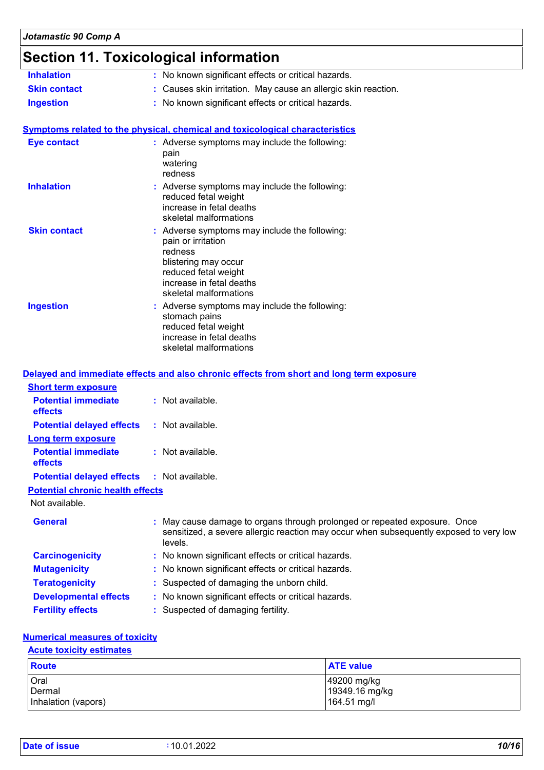### **Section 11. Toxicological information**

| <b>Inhalation</b>   | : No known significant effects or critical hazards.                                                                                                                                  |
|---------------------|--------------------------------------------------------------------------------------------------------------------------------------------------------------------------------------|
| <b>Skin contact</b> | : Causes skin irritation. May cause an allergic skin reaction.                                                                                                                       |
| <b>Ingestion</b>    | : No known significant effects or critical hazards.                                                                                                                                  |
|                     |                                                                                                                                                                                      |
|                     | Symptoms related to the physical, chemical and toxicological characteristics                                                                                                         |
| <b>Eye contact</b>  | : Adverse symptoms may include the following:<br>pain<br>watering<br>redness                                                                                                         |
| <b>Inhalation</b>   | : Adverse symptoms may include the following:<br>reduced fetal weight<br>increase in fetal deaths<br>skeletal malformations                                                          |
| <b>Skin contact</b> | : Adverse symptoms may include the following:<br>pain or irritation<br>redness<br>blistering may occur<br>reduced fetal weight<br>increase in fetal deaths<br>skeletal malformations |
| <b>Ingestion</b>    | : Adverse symptoms may include the following:<br>stomach pains<br>reduced fetal weight<br>increase in fetal deaths<br>skeletal malformations                                         |

#### **Delayed and immediate effects and also chronic effects from short and long term exposure Potential immediate effects :** Not available. **Short term exposure**

| <b>Potential delayed effects</b>                  | : Not available. |
|---------------------------------------------------|------------------|
| Long term exposure                                |                  |
| <b>Potential immediate</b><br>effects             | : Not available. |
| <b>Potential delayed effects : Not available.</b> |                  |
| <b>Potential chronic health effects</b>           |                  |

Not available.

| <b>General</b>               | : May cause damage to organs through prolonged or repeated exposure. Once<br>sensitized, a severe allergic reaction may occur when subsequently exposed to very low<br>levels. |
|------------------------------|--------------------------------------------------------------------------------------------------------------------------------------------------------------------------------|
| <b>Carcinogenicity</b>       | : No known significant effects or critical hazards.                                                                                                                            |
| <b>Mutagenicity</b>          | : No known significant effects or critical hazards.                                                                                                                            |
| <b>Teratogenicity</b>        | : Suspected of damaging the unborn child.                                                                                                                                      |
| <b>Developmental effects</b> | : No known significant effects or critical hazards.                                                                                                                            |
| <b>Fertility effects</b>     | : Suspected of damaging fertility.                                                                                                                                             |

#### **Numerical measures of toxicity**

#### **Acute toxicity estimates**

| <b>Route</b>        | <b>ATE value</b> |
|---------------------|------------------|
| Oral                | 49200 mg/kg      |
| Dermal              | 19349.16 mg/kg   |
| Inhalation (vapors) | 164.51 mg/l      |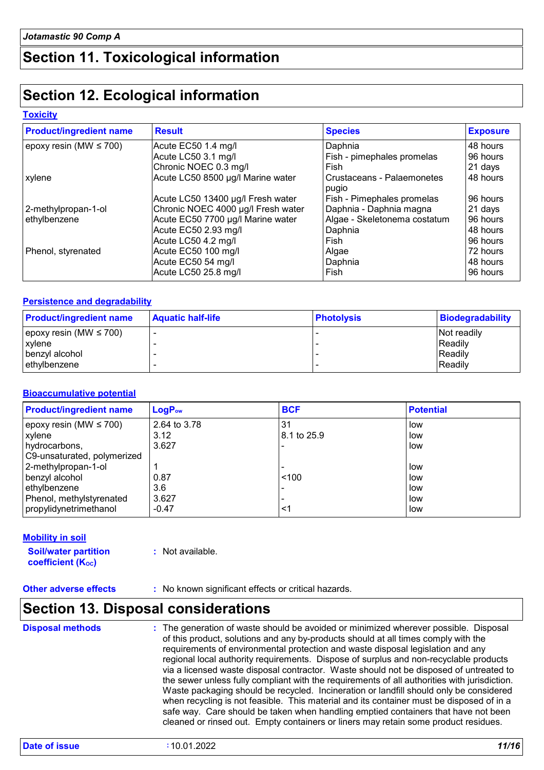# **Section 11. Toxicological information**

# **Section 12. Ecological information**

#### **Toxicity**

| <b>Product/ingredient name</b> | <b>Result</b>                      | <b>Species</b>                      | <b>Exposure</b> |
|--------------------------------|------------------------------------|-------------------------------------|-----------------|
| epoxy resin (MW $\leq$ 700)    | Acute EC50 1.4 mg/l                | Daphnia                             | 48 hours        |
|                                | Acute LC50 3.1 mg/l                | Fish - pimephales promelas          | 96 hours        |
|                                | Chronic NOEC 0.3 mg/l              | Fish                                | 21 days         |
| xylene                         | Acute LC50 8500 µg/l Marine water  | Crustaceans - Palaemonetes<br>pugio | 48 hours        |
|                                | Acute LC50 13400 µg/l Fresh water  | Fish - Pimephales promelas          | 96 hours        |
| 2-methylpropan-1-ol            | Chronic NOEC 4000 µg/l Fresh water | Daphnia - Daphnia magna             | 21 days         |
| ethylbenzene                   | Acute EC50 7700 µg/l Marine water  | Algae - Skeletonema costatum        | 96 hours        |
|                                | Acute EC50 2.93 mg/l               | Daphnia                             | 48 hours        |
|                                | Acute LC50 4.2 mg/l                | Fish                                | 96 hours        |
| Phenol, styrenated             | Acute EC50 100 mg/l                | Algae                               | 72 hours        |
|                                | Acute EC50 54 mg/l                 | Daphnia                             | 48 hours        |
|                                | Acute LC50 25.8 mg/l               | Fish                                | 96 hours        |

#### **Persistence and degradability**

| <b>Product/ingredient name</b> | <b>Aquatic half-life</b> | <b>Photolysis</b> | Biodegradability   |
|--------------------------------|--------------------------|-------------------|--------------------|
| epoxy resin (MW $\leq$ 700)    |                          |                   | <b>Not readily</b> |
| <b>xylene</b>                  |                          |                   | Readily            |
| benzyl alcohol                 |                          |                   | Readily            |
| ethylbenzene                   |                          |                   | Readily            |

#### **Bioaccumulative potential**

| <b>Product/ingredient name</b> | $LogP_{ow}$  | <b>BCF</b>  | <b>Potential</b> |
|--------------------------------|--------------|-------------|------------------|
| epoxy resin (MW $\leq$ 700)    | 2.64 to 3.78 | 31          | low              |
| <b>xylene</b>                  | 3.12         | 8.1 to 25.9 | low              |
| hydrocarbons,                  | 3.627        |             | low              |
| C9-unsaturated, polymerized    |              |             |                  |
| 2-methylpropan-1-ol            |              |             | low              |
| benzyl alcohol                 | 0.87         | < 100       | low              |
| ethylbenzene                   | 3.6          |             | low              |
| Phenol, methylstyrenated       | 3.627        |             | low              |
| propylidynetrimethanol         | $-0.47$      | <1          | low              |

#### **Mobility in soil**

**Soil/water partition coefficient (Koc)** 

**:** Not available.

# **Section 13. Disposal considerations**

| of this product, solutions and any by-products should at all times comply with the<br>requirements of environmental protection and waste disposal legislation and any<br>regional local authority requirements. Dispose of surplus and non-recyclable products<br>via a licensed waste disposal contractor. Waste should not be disposed of untreated to<br>the sewer unless fully compliant with the requirements of all authorities with jurisdiction.<br>Waste packaging should be recycled. Incineration or landfill should only be considered<br>when recycling is not feasible. This material and its container must be disposed of in a<br>safe way. Care should be taken when handling emptied containers that have not been<br>cleaned or rinsed out. Empty containers or liners may retain some product residues. |  |
|-----------------------------------------------------------------------------------------------------------------------------------------------------------------------------------------------------------------------------------------------------------------------------------------------------------------------------------------------------------------------------------------------------------------------------------------------------------------------------------------------------------------------------------------------------------------------------------------------------------------------------------------------------------------------------------------------------------------------------------------------------------------------------------------------------------------------------|--|
|-----------------------------------------------------------------------------------------------------------------------------------------------------------------------------------------------------------------------------------------------------------------------------------------------------------------------------------------------------------------------------------------------------------------------------------------------------------------------------------------------------------------------------------------------------------------------------------------------------------------------------------------------------------------------------------------------------------------------------------------------------------------------------------------------------------------------------|--|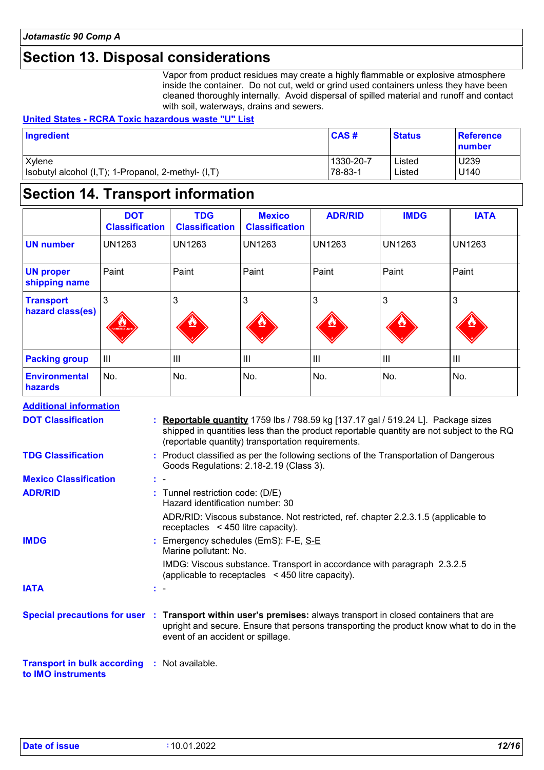# **Section 13. Disposal considerations**

Vapor from product residues may create a highly flammable or explosive atmosphere inside the container. Do not cut, weld or grind used containers unless they have been cleaned thoroughly internally. Avoid dispersal of spilled material and runoff and contact with soil, waterways, drains and sewers.

#### **United States - RCRA Toxic hazardous waste "U" List**

| Ingredient                                          | CAS#      | <b>Status</b> | <b>Reference</b><br>number |
|-----------------------------------------------------|-----------|---------------|----------------------------|
| Xylene                                              | 1330-20-7 | Listed        | U239                       |
| Isobutyl alcohol (I,T); 1-Propanol, 2-methyl- (I,T) | 78-83-1   | Listed        | U140                       |

### **Section 14. Transport information**

|                                      | <b>DOT</b><br><b>Classification</b> | <b>TDG</b><br><b>Classification</b> | <b>Mexico</b><br><b>Classification</b> | <b>ADR/RID</b> | <b>IMDG</b>    | <b>IATA</b>    |
|--------------------------------------|-------------------------------------|-------------------------------------|----------------------------------------|----------------|----------------|----------------|
| <b>UN number</b>                     | <b>UN1263</b>                       | <b>UN1263</b>                       | <b>UN1263</b>                          | <b>UN1263</b>  | <b>UN1263</b>  | <b>UN1263</b>  |
| <b>UN proper</b><br>shipping name    | Paint                               | Paint                               | Paint                                  | Paint          | Paint          | Paint          |
| <b>Transport</b><br>hazard class(es) | 3<br><b>LANGER COMPANY</b>          | 3<br>92                             | 3<br>92                                | 3<br>92        | 3<br>ٹ         | 3<br>۳         |
| <b>Packing group</b>                 | $\mathbf{III}$                      | III                                 | $\mathbf{III}$                         | III            | $\mathbf{III}$ | $\mathbf{III}$ |
| <b>Environmental</b><br>hazards      | No.                                 | No.                                 | No.                                    | No.            | No.            | No.            |

| <b>Additional information</b>                                             |     |                                                                                                                                                                                                                                                 |
|---------------------------------------------------------------------------|-----|-------------------------------------------------------------------------------------------------------------------------------------------------------------------------------------------------------------------------------------------------|
| <b>DOT Classification</b>                                                 |     | : Reportable quantity 1759 lbs / 798.59 kg [137.17 gal / 519.24 L]. Package sizes<br>shipped in quantities less than the product reportable quantity are not subject to the RQ<br>(reportable quantity) transportation requirements.            |
| <b>TDG Classification</b>                                                 |     | : Product classified as per the following sections of the Transportation of Dangerous<br>Goods Regulations: 2.18-2.19 (Class 3).                                                                                                                |
| <b>Mexico Classification</b>                                              | t - |                                                                                                                                                                                                                                                 |
| <b>ADR/RID</b>                                                            |     | : Tunnel restriction code: (D/E)<br>Hazard identification number: 30                                                                                                                                                                            |
|                                                                           |     | ADR/RID: Viscous substance. Not restricted, ref. chapter 2.2.3.1.5 (applicable to<br>receptacles $\leq$ 450 litre capacity).                                                                                                                    |
| <b>IMDG</b>                                                               |     | : Emergency schedules (EmS): F-E, S-E<br>Marine pollutant: No.                                                                                                                                                                                  |
|                                                                           |     | IMDG: Viscous substance. Transport in accordance with paragraph 2.3.2.5<br>(applicable to receptacles <450 litre capacity).                                                                                                                     |
| <b>IATA</b>                                                               | t - |                                                                                                                                                                                                                                                 |
|                                                                           |     | Special precautions for user : Transport within user's premises: always transport in closed containers that are<br>upright and secure. Ensure that persons transporting the product know what to do in the<br>event of an accident or spillage. |
| <b>Transport in bulk according : Not available.</b><br>to IMO instruments |     |                                                                                                                                                                                                                                                 |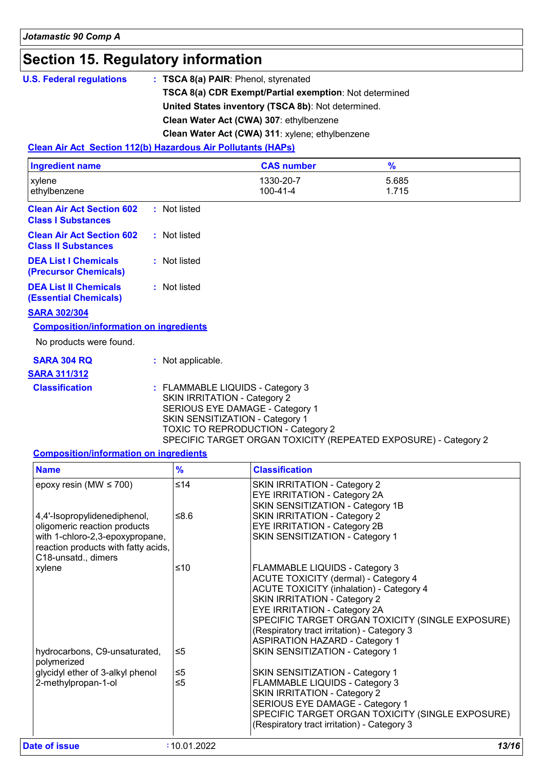# **Section 15. Regulatory information**

| <b>U.S. Federal regulations</b> | : TSCA 8(a) PAIR: Phenol, styrenated                          |
|---------------------------------|---------------------------------------------------------------|
|                                 | <b>TSCA 8(a) CDR Exempt/Partial exemption:</b> Not determined |
|                                 | United States inventory (TSCA 8b): Not determined.            |
|                                 | Clean Water Act (CWA) 307: ethylbenzene                       |
|                                 | Clean Water Act (CWA) 311: xylene; ethylbenzene               |

#### **Clean Air Act Section 112(b) Hazardous Air Pollutants (HAPs)**

| <b>Ingredient name</b>                                               |                                     | <b>CAS number</b>                                                                                                                                                                                                      | %              |  |
|----------------------------------------------------------------------|-------------------------------------|------------------------------------------------------------------------------------------------------------------------------------------------------------------------------------------------------------------------|----------------|--|
| xylene<br>ethylbenzene                                               |                                     | 1330-20-7<br>100-41-4                                                                                                                                                                                                  | 5.685<br>1.715 |  |
| <b>Clean Air Act Section 602</b><br><b>Class I Substances</b>        | : Not listed                        |                                                                                                                                                                                                                        |                |  |
| <b>Clean Air Act Section 602</b><br><b>Class II Substances</b>       | : Not listed                        |                                                                                                                                                                                                                        |                |  |
| <b>DEA List I Chemicals</b><br>(Precursor Chemicals)                 | : Not listed                        |                                                                                                                                                                                                                        |                |  |
| <b>DEA List II Chemicals</b><br><b>(Essential Chemicals)</b>         | : Not listed                        |                                                                                                                                                                                                                        |                |  |
| <b>SARA 302/304</b><br><b>Composition/information on ingredients</b> |                                     |                                                                                                                                                                                                                        |                |  |
| No products were found.                                              |                                     |                                                                                                                                                                                                                        |                |  |
| <b>SARA 304 RQ</b><br><b>SARA 311/312</b>                            | : Not applicable.                   |                                                                                                                                                                                                                        |                |  |
| <b>Classification</b>                                                | <b>SKIN IRRITATION - Category 2</b> | : FLAMMABLE LIQUIDS - Category 3<br>SERIOUS EYE DAMAGE - Category 1<br>SKIN SENSITIZATION - Category 1<br><b>TOXIC TO REPRODUCTION - Category 2</b><br>SPECIFIC TARGET ORGAN TOXICITY (REPEATED EXPOSURE) - Category 2 |                |  |

#### **Composition/information on ingredients**

| <b>Name</b>                                                                                                                                                   | $\frac{9}{6}$        | <b>Classification</b>                                                                                                                                                                                                                                                                                                                                      |
|---------------------------------------------------------------------------------------------------------------------------------------------------------------|----------------------|------------------------------------------------------------------------------------------------------------------------------------------------------------------------------------------------------------------------------------------------------------------------------------------------------------------------------------------------------------|
| epoxy resin (MW $\leq$ 700)                                                                                                                                   | $\leq 14$            | <b>SKIN IRRITATION - Category 2</b><br>EYE IRRITATION - Category 2A<br>SKIN SENSITIZATION - Category 1B                                                                                                                                                                                                                                                    |
| 4,4'-Isopropylidenediphenol,<br>oligomeric reaction products<br>with 1-chloro-2,3-epoxypropane,<br>reaction products with fatty acids,<br>C18-unsatd., dimers | ≤ $8.6$              | <b>SKIN IRRITATION - Category 2</b><br><b>EYE IRRITATION - Category 2B</b><br>SKIN SENSITIZATION - Category 1                                                                                                                                                                                                                                              |
| xylene                                                                                                                                                        | $≤10$                | <b>FLAMMABLE LIQUIDS - Category 3</b><br><b>ACUTE TOXICITY (dermal) - Category 4</b><br><b>ACUTE TOXICITY (inhalation) - Category 4</b><br><b>SKIN IRRITATION - Category 2</b><br>EYE IRRITATION - Category 2A<br>SPECIFIC TARGET ORGAN TOXICITY (SINGLE EXPOSURE)<br>(Respiratory tract irritation) - Category 3<br><b>ASPIRATION HAZARD - Category 1</b> |
| hydrocarbons, C9-unsaturated,<br>polymerized                                                                                                                  | $\leq 5$             | SKIN SENSITIZATION - Category 1                                                                                                                                                                                                                                                                                                                            |
| glycidyl ether of 3-alkyl phenol<br>2-methylpropan-1-ol                                                                                                       | $\leq 5$<br>$\leq 5$ | SKIN SENSITIZATION - Category 1<br>FLAMMABLE LIQUIDS - Category 3<br><b>SKIN IRRITATION - Category 2</b><br>SERIOUS EYE DAMAGE - Category 1<br>SPECIFIC TARGET ORGAN TOXICITY (SINGLE EXPOSURE)<br>(Respiratory tract irritation) - Category 3                                                                                                             |
| Date of issue                                                                                                                                                 | :10.01.2022          | 13/16                                                                                                                                                                                                                                                                                                                                                      |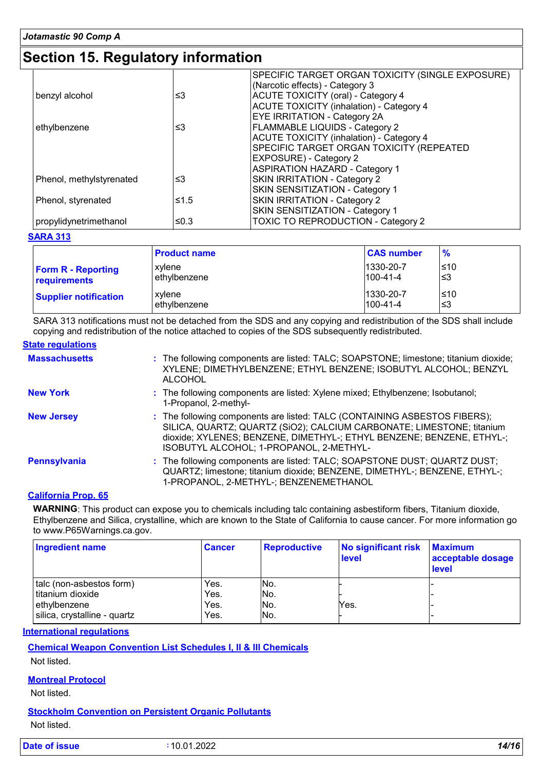### **Section 15. Regulatory information**

|                          |      | SPECIFIC TARGET ORGAN TOXICITY (SINGLE EXPOSURE) |
|--------------------------|------|--------------------------------------------------|
|                          |      | (Narcotic effects) - Category 3                  |
| benzyl alcohol           | ≤3   | ACUTE TOXICITY (oral) - Category 4               |
|                          |      | ACUTE TOXICITY (inhalation) - Category 4         |
|                          |      | <b>EYE IRRITATION - Category 2A</b>              |
| ethylbenzene             | ≤3   | <b>FLAMMABLE LIQUIDS - Category 2</b>            |
|                          |      | ACUTE TOXICITY (inhalation) - Category 4         |
|                          |      | SPECIFIC TARGET ORGAN TOXICITY (REPEATED         |
|                          |      | <b>EXPOSURE)</b> - Category 2                    |
|                          |      | <b>ASPIRATION HAZARD - Category 1</b>            |
| Phenol, methylstyrenated | ≤3   | SKIN IRRITATION - Category 2                     |
|                          |      | SKIN SENSITIZATION - Category 1                  |
| Phenol, styrenated       | ≤1.5 | SKIN IRRITATION - Category 2                     |
|                          |      | SKIN SENSITIZATION - Category 1                  |
| propylidynetrimethanol   | ≤0.3 | <b>TOXIC TO REPRODUCTION - Category 2</b>        |

#### **SARA 313**

|                              | <b>Product name</b> | <b>CAS number</b> | $\frac{9}{6}$ |
|------------------------------|---------------------|-------------------|---------------|
| <b>Form R - Reporting</b>    | xvlene              | 1330-20-7         | l≤10          |
| requirements                 | l ethvlbenzene      | $100 - 41 - 4$    | '≤3           |
| <b>Supplier notification</b> | xvlene              | 1330-20-7         | ≤10           |
|                              | l ethvlbenzene      | $100 - 41 - 4$    | '≤3           |

SARA 313 notifications must not be detached from the SDS and any copying and redistribution of the SDS shall include copying and redistribution of the notice attached to copies of the SDS subsequently redistributed.

#### **State regulations**

| <b>Massachusetts</b> | : The following components are listed: TALC; SOAPSTONE; limestone; titanium dioxide;<br>XYLENE; DIMETHYLBENZENE; ETHYL BENZENE; ISOBUTYL ALCOHOL; BENZYL<br>ALCOHOL                                                                                                    |
|----------------------|------------------------------------------------------------------------------------------------------------------------------------------------------------------------------------------------------------------------------------------------------------------------|
| <b>New York</b>      | : The following components are listed: Xylene mixed; Ethylbenzene; Isobutanol;<br>1-Propanol, 2-methyl-                                                                                                                                                                |
| <b>New Jersey</b>    | : The following components are listed: TALC (CONTAINING ASBESTOS FIBERS);<br>SILICA, QUARTZ; QUARTZ (SiO2); CALCIUM CARBONATE; LIMESTONE; titanium<br>dioxide; XYLENES; BENZENE, DIMETHYL-; ETHYL BENZENE; BENZENE, ETHYL-;<br>ISOBUTYL ALCOHOL; 1-PROPANOL, 2-METHYL- |
| <b>Pennsylvania</b>  | : The following components are listed: TALC; SOAPSTONE DUST; QUARTZ DUST;<br>QUARTZ; limestone; titanium dioxide; BENZENE, DIMETHYL-; BENZENE, ETHYL-;<br>1-PROPANOL, 2-METHYL-; BENZENEMETHANOL                                                                       |

#### **California Prop. 65**

**WARNING**: This product can expose you to chemicals including talc containing asbestiform fibers, Titanium dioxide, Ethylbenzene and Silica, crystalline, which are known to the State of California to cause cancer. For more information go to www.P65Warnings.ca.gov.

| <b>Ingredient name</b>       | <b>Cancer</b> | <b>Reproductive</b> | No significant risk<br>level | <b>Maximum</b><br>acceptable dosage<br><b>level</b> |
|------------------------------|---------------|---------------------|------------------------------|-----------------------------------------------------|
| talc (non-asbestos form)     | Yes.          | No.                 |                              |                                                     |
| titanium dioxide             | Yes.          | No.                 |                              |                                                     |
| lethvlbenzene                | Yes.          | No.                 | Yes.                         |                                                     |
| silica, crystalline - quartz | Yes.          | No.                 |                              |                                                     |

#### **International regulations**

#### **Chemical Weapon Convention List Schedules I, II & III Chemicals**

Not listed.

#### **Montreal Protocol**

Not listed.

#### **Stockholm Convention on Persistent Organic Pollutants**

Not listed.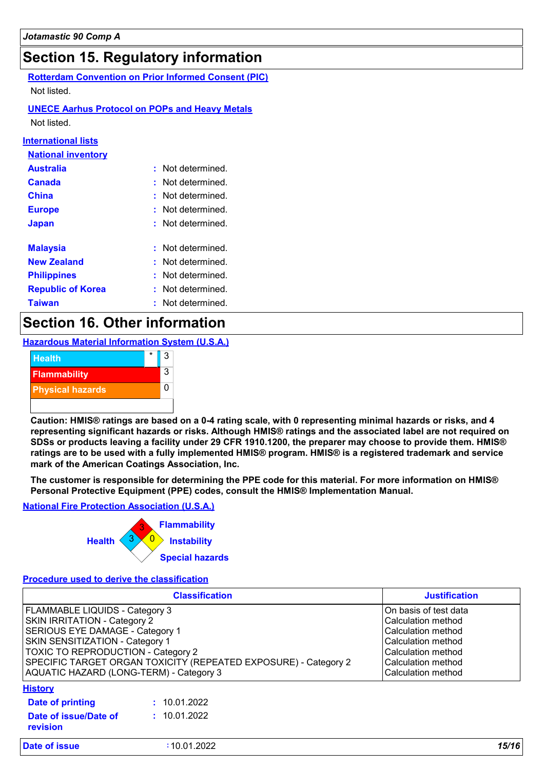### **Section 15. Regulatory information**

**Rotterdam Convention on Prior Informed Consent (PIC)** Not listed.

#### **UNECE Aarhus Protocol on POPs and Heavy Metals**

Not listed.

#### **International lists**

| <b>National inventory</b> |    |                        |
|---------------------------|----|------------------------|
| <b>Australia</b>          |    | $:$ Not determined $:$ |
| Canada                    |    | Not determined         |
| China                     |    | Not determined         |
| <b>Europe</b>             |    | Not determined         |
| <b>Japan</b>              |    | : Not determined :     |
|                           |    |                        |
| <b>Malaysia</b>           |    | : Not determined.      |
| <b>New Zealand</b>        |    | : Not determined.      |
| <b>Philippines</b>        |    | Not determined         |
| <b>Republic of Korea</b>  | ŧ. | Not determined         |
| <b>Taiwan</b>             |    | : Not determined.      |

### **Section 16. Other information**

**Hazardous Material Information System (U.S.A.)**



**Caution: HMIS® ratings are based on a 0-4 rating scale, with 0 representing minimal hazards or risks, and 4 representing significant hazards or risks. Although HMIS® ratings and the associated label are not required on SDSs or products leaving a facility under 29 CFR 1910.1200, the preparer may choose to provide them. HMIS® ratings are to be used with a fully implemented HMIS® program. HMIS® is a registered trademark and service mark of the American Coatings Association, Inc.**

**The customer is responsible for determining the PPE code for this material. For more information on HMIS® Personal Protective Equipment (PPE) codes, consult the HMIS® Implementation Manual.**

#### **National Fire Protection Association (U.S.A.)**



#### **Procedure used to derive the classification**

| <b>Classification</b>                                                                                                                                                                                                                                                                    |                              | <b>Justification</b>                                                                                                                                      |  |
|------------------------------------------------------------------------------------------------------------------------------------------------------------------------------------------------------------------------------------------------------------------------------------------|------------------------------|-----------------------------------------------------------------------------------------------------------------------------------------------------------|--|
| FLAMMABLE LIQUIDS - Category 3<br>SKIN IRRITATION - Category 2<br>SERIOUS EYE DAMAGE - Category 1<br>SKIN SENSITIZATION - Category 1<br>TOXIC TO REPRODUCTION - Category 2<br>SPECIFIC TARGET ORGAN TOXICITY (REPEATED EXPOSURE) - Category 2<br>AQUATIC HAZARD (LONG-TERM) - Category 3 |                              | On basis of test data<br>Calculation method<br>Calculation method<br>Calculation method<br>Calculation method<br>Calculation method<br>Calculation method |  |
| <b>History</b><br>Date of printing<br>Date of issue/Date of<br>revision                                                                                                                                                                                                                  | : 10.01.2022<br>: 10.01.2022 |                                                                                                                                                           |  |
| Date of issue                                                                                                                                                                                                                                                                            | :10.01.2022                  | 15/16                                                                                                                                                     |  |